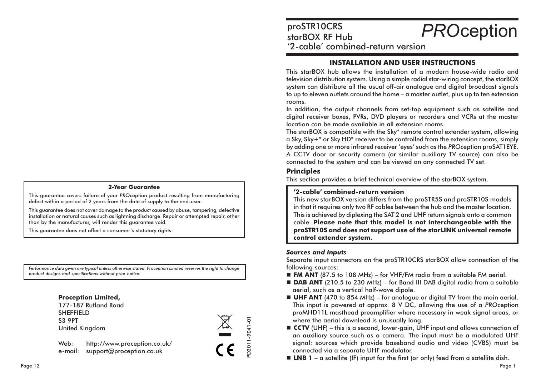#### **2-Year Guarantee**

This guarantee covers failure of your PROception product resulting from manufacturing defect within a period of 2 years from the date of supply to the end-user.

This quarantee does not cover damage to the product caused by abuse, tampering, defective installation or natural causes such as lightning discharge. Repair or attempted repair, other than by the manufacturer, will render this guarantee void.

This quarantee does not affect a consumer's statutory rights.

Performance data given are typical unless otherwise stated. Proception Limited reserves the right to change product designs and specifications without prior notice.





Web: http://www.proception.co.uk/ e-mail: support@proception.co.uk

proSTR10CRS **PROception** starBOX RF Hub '2-cable' combined-return version

## **INSTALLATION AND USER INSTRUCTIONS**

This starBOX hub allows the installation of a modern house-wide radio and television distribution system. Using a simple radial star-wiring concept, the starBOX system can distribute all the usual off-air analogue and digital broadcast signals to up to eleven outlets around the home - a master outlet, plus up to ten extension rooms.

In addition, the output channels from set-top equipment such as satellite and digital receiver boxes, PVRs, DVD players or recorders and VCRs at the master location can be made available in all extension rooms.

The starBOX is compatible with the Sky\* remote control extender system, allowing a Sky, Sky+\* or Sky HD\* receiver to be controlled from the extension rooms, simply by adding one or more infrared receiver 'eyes' such as the PROception proSAT1EYE. A CCTV door or security camera (or similar auxiliary TV source) can also be connected to the system and can be viewed on any connected TV set.

### **Principles**

This section provides a brief technical overview of the starBOX system.

### '2-cable' combined-return version

This new starBOX version differs from the proSTR5S and proSTR10S models in that it requires only two RF cables between the hub and the master location. This is achieved by diplexing the SAT 2 and UHF return signals onto a common cable. Please note that this model is not interchangeable with the proSTR10S and does not support use of the starLINK universal remote control extender system.

#### **Sources and inputs**

Separate input connectors on the proSTR10CRS starBOX allow connection of the following sources:

- **FM ANT** (87.5 to 108 MHz) for VHF/FM radio from a suitable FM aerial.
- **DAB ANT** (210.5 to 230 MHz) for Band III DAB digital radio from a suitable aerial, such as a vertical half-wave dipole.
- **UHF ANT** (470 to 854 MHz) for analogue or digital TV from the main aerial. This input is powered at approx. 8 V DC, allowing the use of a PROception proMHD11L masthead preamplifier where necessary in weak signal areas, or where the aerial downlead is unusually long.
- **CCTV** (UHF) this is a second, lower-gain, UHF input and allows connection of an auxiliary source such as a camera. The input must be a modulated UHF signal: sources which provide baseband audio and video (CVBS) must be connected via a separate UHF modulator.
- **LNB 1** a satellite (IF) input for the first (or only) feed from a satellite dish.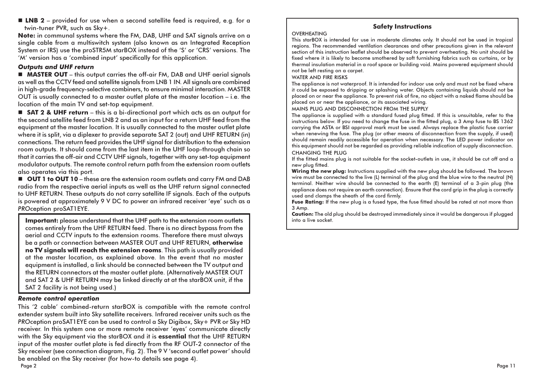**ELNB 2** - provided for use when a second satellite feed is required, e.g. for a twin-tuner PVR, such as Sky+.

Note: in communal systems where the FM, DAB, UHF and SAT signals arrive on a single cable from a multiswitch system (also known as an Integrated Reception System or IRS) use the proSTR5M starBOX instead of the 'S' or 'CRS' versions. The 'M' version has a 'combined input' specifically for this application.

## **Outputs and UHF return**

**MASTER OUT** – this output carries the off-air FM. DAB and UHF aerial sianals as well as the CCTV feed and satellite signals from LNB 1 IN. All signals are combined in high-grade frequency-selective combiners, to ensure minimal interaction. MASTER OUT is usually connected to a master outlet plate at the master location – i.e. the location of the main TV and set-top eavipment.

■ SAT 2 & UHF return - this is a bi-directional port which acts as an output for the second satellite feed from LNB 2 and as an input for a return UHF feed from the equipment at the master location. It is usually connected to the master outlet plate where it is split, via a diplexer to provide separate SAT 2 (out) and UHF RETURN (in) connections. The return feed provides the UHF signal for distribution to the extension room outputs. It should come from the last item in the UHF loop-through chain so that it carries the off-air and CCTV UHF signals, together with any set-top equipment modulator outputs. The remote control return path from the extension room outlets also operates via this port.

■ OUT 1 to OUT 10 - these are the extension room outlets and carry FM and DAB radio from the respective aerial inputs as well as the UHF return signal connected to UHF RETURN. These outputs do not carry satellite IF signals. Each of the outputs is powered at approximately 9 V DC to power an infrared receiver 'eye' such as a PROception proSAT1EYE.

**Important:** please understand that the UHF path to the extension room outlets comes entirely from the UHF RETURN feed. There is no direct bypass from the aerial and CCTV inputs to the extension rooms. Therefore there must always be a path or connection between MASTER OUT and UHF RETURN, otherwise no TV signals will reach the extension rooms. This path is usually provided at the master location, as explained above. In the event that no master equipment is installed, a link should be connected between the TV output and the RETURN connectors at the master outlet plate. (Alternatively MASTER OUT and SAT 2 & UHF RETURN may be linked directly at at the starBOX unit, if the SAT 2 facility is not being used.)

## **Remote control operation**

This '2 cable' combined-return starBOX is compatible with the remote control extender system built into Sky satellite receivers. Infrared receiver units such as the PROception proSAT1EYE can be used to control a Sky Digibox, Sky+ PVR or Sky HD receiver. In this system one or more remote receiver 'eyes' communicate directly with the Sky equipment via the starBOX and it is essential that the UHF RETURN input of the master outlet plate is fed directly from the RF OUT-2 connector of the Sky receiver (see connection diagram, Fig. 2). The 9 V 'second outlet power' should be enabled on the Sky receiver (for how-to details see page 4). Page 2

# **Safety Instructions**

### **OVERHEATING**

This starBOX is intended for use in moderate climates only. It should not be used in tropical regions. The recommended ventilation clearances and other precautions given in the relevant section of this instruction leaflet should be observed to prevent overheating. No unit should be fixed where it is likely to become smothered by soft furnishing fabrics such as curtains, or by thermal insulation material in a roof space or building void. Mains powered equipment should not be left resting on a carpet.

#### **WATER AND FIRE RISKS**

The appliance is not waterproof. It is intended for indoor use only and must not be fixed where it could be exposed to dripping or splashing water. Objects containing liquids should not be placed on or near the appliance. To prevent risk of fire, no obiect with a naked flame should be placed on or near the appliance, or its associated wiring.

MAINS PLUG AND DISCONNECTION FROM THE SUPPLY

The appliance is supplied with a standard fused plug fitted. If this is unsuitable, refer to the instructions below. If you need to change the fuse in the fitted plug, a 3 Amp fuse to BS 1362 carrying the ASTA or BSI approval mark must be used. Always replace the plastic fuse carrier when renewing the fuse. The plug (or other means of disconnection from the supply, if used) should remain readily accessible for operation when necessary. The LED power indicator on this equipment should not be regarded as providing reliable indication of supply disconnection. **CHANGING THE PLUG** 

If the fitted mains plug is not suitable for the socket-outlets in use, it should be cut off and a new plug fitted.

Wiring the new plug: Instructions supplied with the new plug should be followed. The brown wire must be connected to the live (L) terminal of the plug and the blue wire to the neutral (N) terminal. Neither wire should be connected to the earth (E) terminal of a 3-pin plug (the appliance does not require an earth connection). Ensure that the cord grip in the plug is correctly used and clamps the sheath of the cord firmly.

Fuse Rating: If the new plug is a fused type, the fuse fitted should be rated at not more than 3 Amp.

Caution: The old plug should be destroyed immediately since it would be dangerous if plugged into a live socket.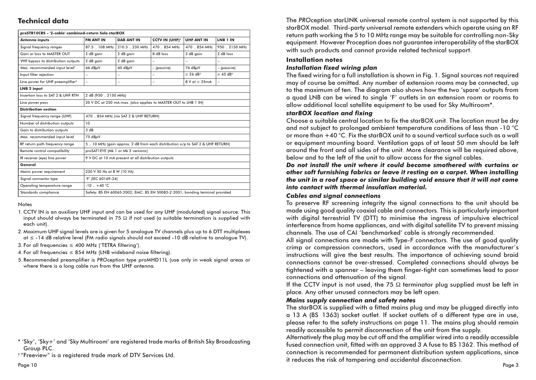## **Technical data**

| proSTR10CRS - '2-cable' combined-return Solo starBOX |                                                                               |                          |                                  |                           |                           |
|------------------------------------------------------|-------------------------------------------------------------------------------|--------------------------|----------------------------------|---------------------------|---------------------------|
| <b>Antenna inputs</b>                                | <b>FM ANT IN</b>                                                              | <b>DAB ANT IN</b>        | <b>CCTV IN (UHF)<sup>1</sup></b> | <b>UHF ANT IN</b>         | LNB <sub>1</sub> IN       |
| Signal frequency ranges                              | 87.5 . 108 MHz                                                                | 210.5 . 230 MHz          | 470  854 MHz                     | 470  854 MHz              | 950 . 2150 MHz            |
| Gain or loss to MASTER OUT                           | 2 dB gain                                                                     | 2 dB gain                | 8 dB loss                        | 3 dB gain                 | 2 dB loss                 |
| VHF bypass to distribution outputs                   | 2 dB gain                                                                     | 2 dB gain                | $\overline{\phantom{0}}$         | $\equiv$                  | $\overline{\phantom{0}}$  |
| Max. recommended input level <sup>2</sup>            | $66$ dB $\mu$ V                                                               | $60$ dB $\mu$ V          | - (passive)                      | 76 dBµV                   | - (passive)               |
| Input filter rejection                               | L,                                                                            | $\overline{\phantom{0}}$ | $\overline{\phantom{0}}$         | $\geq$ 26 dB <sup>3</sup> | $\geq$ 43 dB <sup>4</sup> |
| Line power for UHF preamplifier <sup>5</sup>         | ÷                                                                             | $\overline{\phantom{0}}$ | $\equiv$                         | $8$ V at $\leq$ 25mA      | ÷                         |
| <b>LNB 2 input</b>                                   |                                                                               |                          |                                  |                           |                           |
| Insertion loss to SAT 2 & UHF RTN                    | 2 dB (950  2150 MHz)                                                          |                          |                                  |                           |                           |
| Line power pass                                      | 20 V DC at 250 mA max. (also applies to MASTER OUT to LNB 1 IN)               |                          |                                  |                           |                           |
| <b>Distribution section</b>                          |                                                                               |                          |                                  |                           |                           |
| Signal frequency range (UHF)                         | 470  854 MHz (via SAT 2 & UHF RETURN)                                         |                          |                                  |                           |                           |
| Number of distribution outputs                       | 10                                                                            |                          |                                  |                           |                           |
| Gain to distribution outputs                         | 3 dB                                                                          |                          |                                  |                           |                           |
| Max. recommended input level                         | 75 dBuV                                                                       |                          |                                  |                           |                           |
| RF return path frequency range                       | 5 10 MHz (gain approx. 2 dB from each distribution o/p to SAT 2 & UHF RETURN) |                          |                                  |                           |                           |
| Remote control compatibility                         | proSAT1EYE (Mk 1 or Mk 2 versions)                                            |                          |                                  |                           |                           |
| IR receiver (eye) line power                         | 9 V DC at 10 mA present at all distribution outputs                           |                          |                                  |                           |                           |
| General                                              |                                                                               |                          |                                  |                           |                           |
| Mains power requirement                              | 230 V 50 Hz at 8 W (10 VA)                                                    |                          |                                  |                           |                           |
| Signal connector type                                | 'F' (IEC 60169-24)                                                            |                          |                                  |                           |                           |
| Operating temperature range                          | $-10 + 40 °C$                                                                 |                          |                                  |                           |                           |
| Standards compliance                                 | Safety: BS EN 60065:2002; EMC: BS EN 50083-2:2001; bonding terminal provided  |                          |                                  |                           |                           |

**Notes** 

- 1. CCTV IN is an auxiliary UHF input and can be used for any UHF (modulated) signal source. This input should always be terminated in 75  $\Omega$  if not used (a suitable termination is supplied with each unit)
- 2. Maximum UHF signal levels are is given for 5 analogue TV channels plus up to 6 DTT multiplexes  $at \le -14$  dB relative level (FM radio signals should not exceed -10 dB relative to analogue TV).
- 3. For all frequencies ≤ 400 MHz ('TETRA filtering').
- 4. For all frequencies  $\leq$  854 MHz (LNB wideband noise filtering).
- 5. Recommended preamplifier is PROception type proMHD11L (use only in weak signal areas or where there is a long cable run from the UHF antenna.

\* 'Sky', 'Sky+' and 'Sky Multiroom' are registered trade marks of British Sky Broadcasting Group PLC.

<sup>†</sup>"Freeview" is a registered trade mark of DTV Services Ltd.

The PROception starLINK universal remote control system is not supported by this starBOX model. Third-party universal remote extenders which operate using an RF return path working the 5 to 10 MHz range may be suitable for controlling non-Sky equipment. However Proception does not guarantee interoperability of the starBOX with such products and cannot provide related technical support.

#### **Installation notes**

#### Installation fixed wiring plan

The fixed wiring for a full installation is shown in Fig. 1. Signal sources not required may of course be omitted. Any number of extension rooms may be connected, up to the maximum of ten. The diagram also shows how the two 'spare' outputs from a quad LNB can be wired to single 'F' outlets in an extension room or rooms to allow additional local satellite equipment to be used for Sky Multiroom\*.

### starBOX location and fixing

Choose a suitable central location to fix the starBOX unit. The location must be dry and not subject to prolonged ambient temperature conditions of less than -10 °C or more than +40 °C. Fix the starBOX unit to a sound vertical surface such as a wall or equipment mounting board. Ventilation gaps of at least 50 mm should be left around the front and all sides of the unit. More clearance will be required above, below and to the left of the unit to allow access for the sianal cables.

Do not install the unit where it could become smothered with curtains or other soft furnishing fabrics or leave it resting on a carpet. When installing the unit in a roof space or similar building void ensure that it will not come into contact with thermal insulation material.

## **Cables and sianal connections**

To preserve RF screening integrity the signal connections to the unit should be made using good quality coaxial cable and connectors. This is particularly important with digital terrestrial TV (DTT) to minimise the ingress of impulsive electrical interference from home appliances, and with digital satellite TV to prevent missing channels. The use of CAI 'benchmarked' cable is strongly recommended.

All signal connections are made with Type-F connectors. The use of good quality crimp or compression connectors, used in accordance with the manufacturer's instructions will give the best results. The importance of achieving sound braid connections cannot be over-stressed. Completed connections should always be tightened with a spanner – leaving them finger-tight can sometimes lead to poor connections and attenuation of the signal.

If the CCTV input is not used, the 75  $\Omega$  terminator plug supplied must be left in place. Any other unused connectors may be left open.

## **Mains supply connection and safety notes**

The starBOX is supplied with a fitted mains plug and may be plugged directly into a 13 A (BS 1363) socket outlet. If socket outlets of a different type are in use, please refer to the safety instructions on page 11. The mains plug should remain readily accessible to permit disconnection of the unit from the supply.

Alternatively the plug may be cut off and the amplifier wired into a readily accessible fused connection unit, fitted with an approved 3 A fuse to BS 1362. This method of connection is recommended for permanent distribution system applications, since it reduces the risk of tampering and accidental disconnection.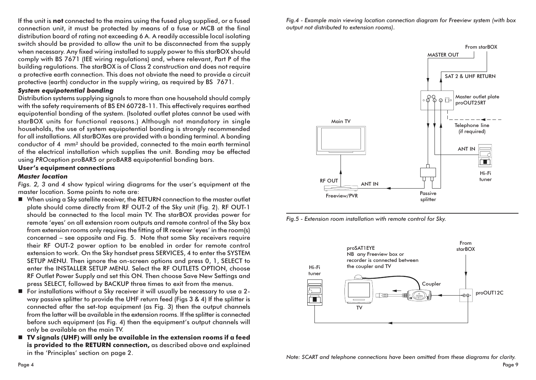If the unit is not connected to the mains using the fused plug supplied, or a fused connection unit, it must be protected by means of a fuse or MCB at the final distribution board of rating not exceeding 6 A. A readily accessible local isolating switch should be provided to allow the unit to be disconnected from the supply when necessary. Any fixed wiring installed to supply power to this starBOX should comply with BS 7671 (IEE wiring regulations) and, where relevant, Part P of the building regulations. The starBOX is of Class 2 construction and does not require a protective earth connection. This does not obviate the need to provide a circuit protective (earth) conductor in the supply wiring, as required by BS 7671.

### **System equipotential bonding**

Distribution systems supplying signals to more than one household should comply with the safety requirements of BS EN 60728-11. This effectively requires earthed equipotential bonding of the system. (Isolated outlet plates cannot be used with starBOX units for functional reasons.) Although not mandatory in single households, the use of system equipotential bonding is strongly recommended for all installations. All starBOXes are provided with a bonding terminal. A bonding conductor of 4 mm<sup>2</sup> should be provided, connected to the main earth terminal of the electrical installation which supplies the unit. Bonding may be effected using PROception proBAR5 or proBAR8 equipotential bonding bars.

## User's equipment connections

## **Master location**

Figs. 2, 3 and 4 show typical wiring diagrams for the user's equipment at the master location. Some points to note are:

- When using a Sky satellite receiver, the RETURN connection to the master outlet plate should come directly from RF OUT-2 of the Sky unit (Fig. 2). RF OUT-1 should be connected to the local main TV. The starBOX provides power for remote 'eyes' on all extension room outputs and remote control of the Sky box from extension rooms only requires the fitting of IR receiver 'eyes' in the room(s) concerned – see opposite and Fig. 5. Note that some Sky receivers require their RF OUT-2 power option to be enabled in order for remote control extension to work. On the Sky handset press SERVICES, 4 to enter the SYSTEM SETUP MENU. Then ignore the on-screen options and press 0, 1, SELECT to enter the INSTALLER SETUP MENU. Select the RF OUTLETS OPTION, choose RF Outlet Power Supply and set this ON. Then choose Save New Settings and press SELECT, followed by BACKUP three times to exit from the menus.
- For installations without a Sky receiver it will usually be necessary to use a 2way passive splitter to provide the UHF return feed (Figs 3 & 4) If the splitter is connected after the set-top equipment (as Fig. 3) then the output channels from the latter will be available in the extension rooms. If the splitter is connected before such equipment (as Fig. 4) then the equipment's output channels will only be available on the main TV.
- TV signals (UHF) will only be available in the extension rooms if a feed is provided to the RETURN connection, as described above and explained in the 'Principles' section on page 2.

Fig.4 - Example main viewing location connection diagram for Freeview system (with box output not distributed to extension rooms).



Fig.5 - Extension room installation with remote control for Sky.

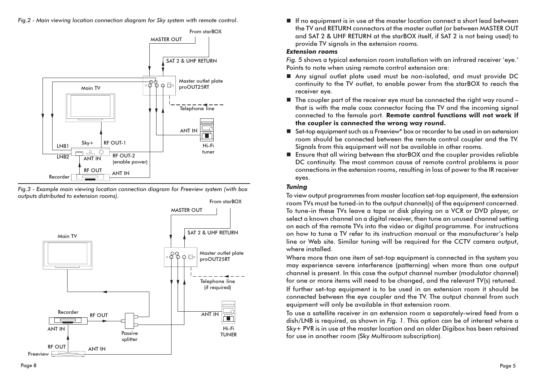

Fig.3 - Example main viewing location connection diagram for Freeview system (with box outputs distributed to extension rooms)



If no equipment is in use at the master location connect a short lead between the TV and RETURN connectors at the master outlet (or between MASTER OUT and SAT 2 & UHF RETURN at the starBOX itself, if SAT 2 is not being used) to provide TV signals in the extension rooms.

## **Extension rooms**

Fig. 5 shows a typical extension room installation with an infrared receiver 'eye.' Points to note when using remote control extension are:

- Any signal outlet plate used must be non-isolated, and must provide DC continuity to the TV outlet, to enable power from the starBOX to reach the receiver eye.
- $\blacksquare$  The coupler part of the receiver eye must be connected the right way round that is with the male coax connector facing the TV and the incoming signal connected to the female port. Remote control functions will not work if the coupler is connected the wrong way round.
- Set-top equipment such as a Freeview\* box or recorder to be used in an extension room should be connected between the remote control coupler and the TV. Signals from this equipment will not be available in other rooms.
- **Example 1** Ensure that all wiring between the starBOX and the coupler provides reliable DC continuity. The most common cause of remote control problems is poor connections in the extension rooms, resulting in loss of power to the IR receiver eyes.

## **Tunina**

To view output programmes from master location set-top equipment, the extension room TVs must be tuned-in to the output channel(s) of the equipment concerned. To tune-in these TVs leave a tape or disk playing on a VCR or DVD player, or select a known channel on a digital receiver, then tune an unused channel setting on each of the remote TVs into the video or digital programme. For instructions on how to tune a TV refer to its instruction manual or the manufacturer's help line or Web site. Similar tuning will be required for the CCTV camera output, where installed.

Where more than one item of set-top equipment is connected in the system you may experience severe interference (patterning) when more than one output channel is present. In this case the output channel number (modulator channel) for one or more items will need to be changed, and the relevant TV(s) retuned. If further set-top equipment is to be used in an extension room it should be connected between the eye coupler and the TV. The output channel from such equipment will only be available in that extension room.

To use a satellite receiver in an extension room a separately-wired feed from a dish/LNB is required, as shown in Fig. 1. This option can be of interest where a Sky+ PVR is in use at the master location and an older Digibox has been retained for use in another room (Sky Multiroom subscription).